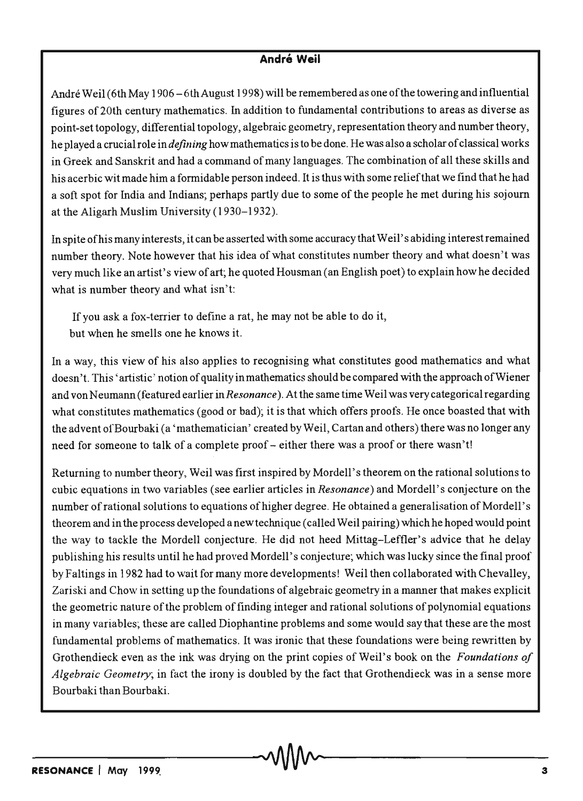## **André Weil**

André Weil (6th May 1906 – 6th August 1998) will be remembered as one of the towering and influential figures of 20th century mathematics. In addition to fundamental contributions to areas as diverse as point-set topology, differential topology, algebraic geometry, representation theory and number theory, he played a crucial role in *defining* how mathematics is to be done. He was also a scholar of classical works in Greek and Sanskrit and had a command of many languages. The combination of all these skills and his acerbic wit made him a formidable person indeed. It is thus with some reliefthat we find that he had a soft spot for India and Indians; perhaps partly due to some of the people he met during his sojourn at the Aligarh Muslim University (1930-1932).

In spite of his many interests, it can be asserted with some accuracy that Weil' s abiding interest remained number theory. Note however that his idea of what constitutes number theory and what doesn't was very much like an artist's view of art; he quoted Housman (an English poet) to explain how he decided what is number theory and what isn't:

If you ask a fox-terrier to define a rat, he may not be able to do it, but when he smells one he knows it.

In away, this view of his also applies to recognising what constitutes good mathematics and what doesn't. This' artistic' notion of quality in mathematics should be compared with the approach of Wiener and von Neumann (featured earlier in *Resonance* ). At the same time Weil was very categorical regarding what constitutes mathematics (good or bad); it is that which offers proofs. He once boasted that with the advent of Bourbaki (a 'mathematician' created by Weil, Cartan and others) there was no longer any need for someone to talk of a complete proof - either there was a proof or there wasn't!

Returning to number theory, Weil was first inspired by Mordell's theorem on the rational solutions to cubic equations in two variables (see earlier articles in *Resonance)* and Mordell' s conjecture on the number of rational solutions to equations of higher degree. He obtained a generalisation of Mordell's theorem and in the process developed a new technique (called Weil pairing) which he hoped would point the way to tackle the Mordell conjecture. He did not heed Mittag-Leffler's advice that he delay publishing his results until he had proved Mordell's conjecture; which was lucky since the final proof by Faltings in 1982 had to wait for many more developments! Weil then collaborated with Chevalley, Zariski and Chow in setting up the foundations of algebraic geometry in a manner that makes explicit the geometric nature of the problem of finding integer and rational solutions of polynomial equations in many variables; these are called Diophantine problems and some would say that these are the most fundamental problems of mathematics. It was ironic that these foundations were being rewritten by Grothendieck even as the ink was drying on the print copies of WeiI's book on the *Foundations of Algebraic Geometry;* in fact the irony is doubled by the fact that Grothendieck was in a sense more Bourbaki than Bourbaki.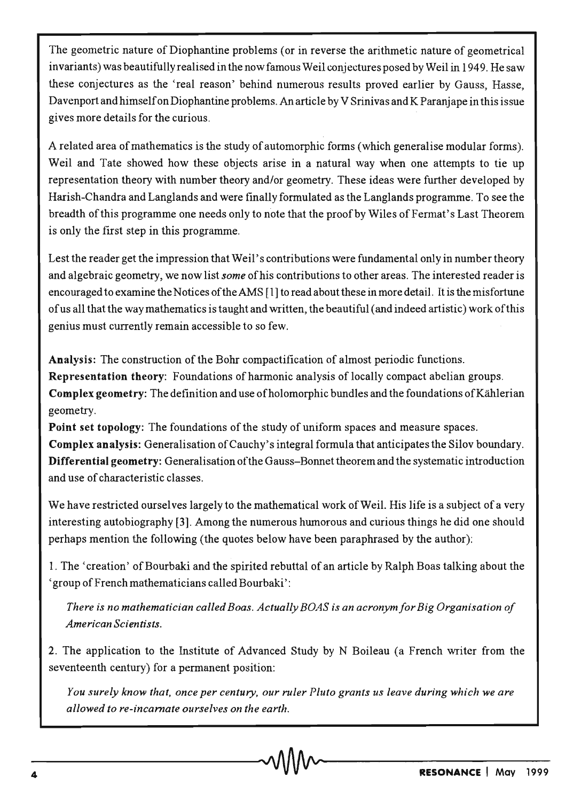The geometric nature of Diophantine problems (or in reverse the arithmetic nature of geometrical invariants) was beautifully realised in the now famous Weil conjectures posed by Weil in 1949. He saw these conjectures as the 'real reason' behind numerous results proved earlier by Gauss, Hasse, Davenport and himself on Diophantine problems. An article by V Srinivas and K Paranjape in this issue gives more details for the curious.

A related area of mathematics is the study of automorphic forms (which generalise modular forms). Weil and Tate showed how these objects arise in a natural way when one attempts to tie up representation theory with number theory and/or geometry. These ideas were further developed by Harish-Chandra and Langlands and were finally formulated as the Langlands programme. To see the breadth of this programme one needs only to note that the proof by Wiles of Fermat's Last Theorem is only the first step in this programme.

Lest the reader get the impression that Weil's contributions were fundamental only in number theory and algebraic geometry, we now list *some* of his contributions to other areas. The interested reader is encouraged to examine the Notices of the AMS [1] to read about these in more detail. It is the misfortune of us all that the way mathematics is taught and written, the beautiful (and indeed artistic) work ofthis genius must currently remain accessible to so few.

Analysis: The construction of the Bohr compactification of almost periodic functions. Representation theory: Foundations of harmonic analysis of locally compact abelian groups. Complex geometry: The definition and use of holomorphic bundles and the foundations of Kählerian geometry.

Point set topology: The foundations of the study of uniform spaces and measure spaces. Complex analysis: Generalisation of Cauchy's integral formula that anticipates the Silov boundary. Differential geometry: Generalisation ofthe Gauss-Bonnet theorem and the systematic introduction

and use of characteristic classes.

We have restricted ourselves largely to the mathematical work of Weil. His life is a subject of a very interesting autobiography [3]. Among the numerous humorous and curious things he did one should perhaps mention the following (the quotes below have been paraphrased by the author):

1. The 'creation' of Bourbaki and the spirited rebuttal of an article by Ralph Boas talking about the 'group of French mathematicians called Bourbaki':

*There is no mathematician called Boas. Actually BOAS is an acronym for Big Organisation of American Scientists.* 

2. The application to the Institute of Advanced Study by N Boileau (a French writer from the seventeenth century) for a permanent position:

*You surely know that, once per century, our ruler Pluto grants us leave during which we are allowed to re-incarnate ourselves on the earth.*